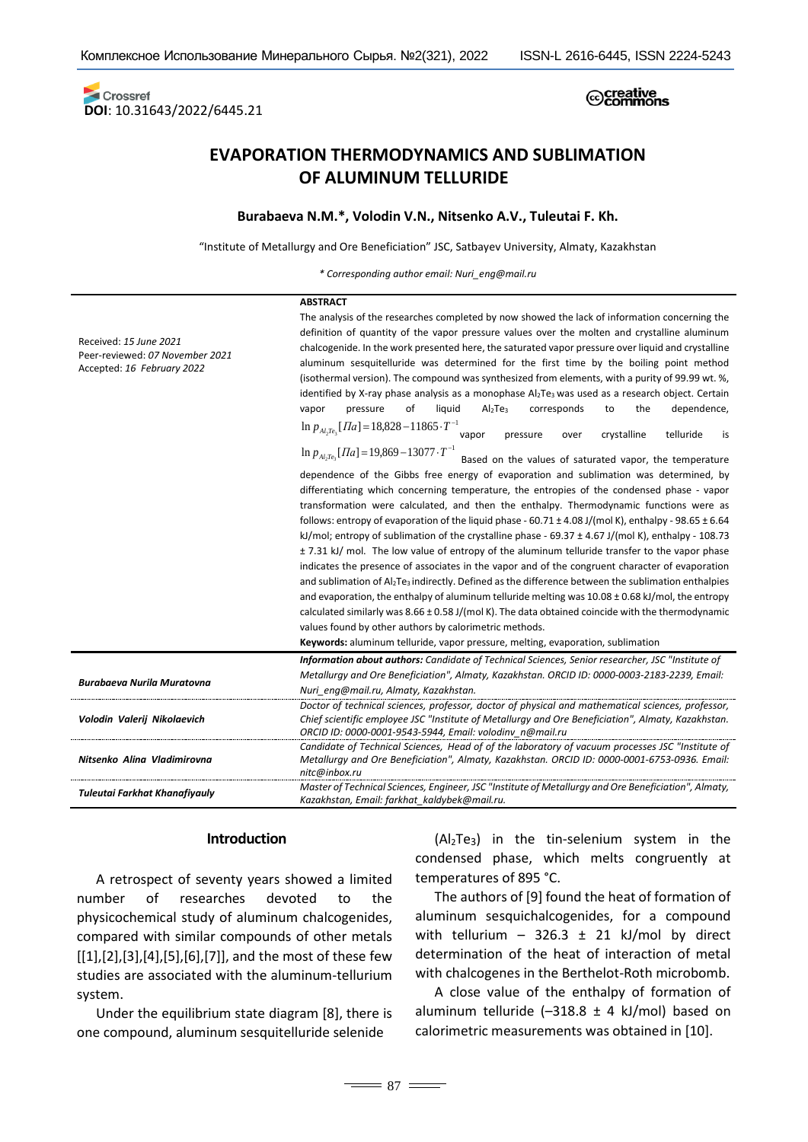Crossref **DOI**: 10.31643/2022/6445.21

# 

# **EVAPORATION THERMODYNAMICS AND SUBLIMATION OF ALUMINUM TELLURIDE**

### **Burabaeva N.M.\*, Volodin V.N., Nitsenko A.V., Tuleutai F. Kh.**

"Institute of Metallurgy and Ore Beneficiation" JSC, Satbayev University, Almaty, Kazakhstan

*\* Corresponding author email: [Nuri\\_eng@mail.ru](mailto:Nuri_eng@mail.ru)*

|                                                                                         | <b>ABSTRACT</b>                                                                                                                                                                                                                                                                                                                                                                                                                                                                                                                                                                                                                                                                                                                                                                                                                                                                                                                                                                                                                                                                                                                                                                                                                                                                                                                                                                                                                                                                                                                                                                                                                                                                                                                                                                                                                             |  |  |  |  |
|-----------------------------------------------------------------------------------------|---------------------------------------------------------------------------------------------------------------------------------------------------------------------------------------------------------------------------------------------------------------------------------------------------------------------------------------------------------------------------------------------------------------------------------------------------------------------------------------------------------------------------------------------------------------------------------------------------------------------------------------------------------------------------------------------------------------------------------------------------------------------------------------------------------------------------------------------------------------------------------------------------------------------------------------------------------------------------------------------------------------------------------------------------------------------------------------------------------------------------------------------------------------------------------------------------------------------------------------------------------------------------------------------------------------------------------------------------------------------------------------------------------------------------------------------------------------------------------------------------------------------------------------------------------------------------------------------------------------------------------------------------------------------------------------------------------------------------------------------------------------------------------------------------------------------------------------------|--|--|--|--|
| Received: 15 June 2021<br>Peer-reviewed: 07 November 2021<br>Accepted: 16 February 2022 | The analysis of the researches completed by now showed the lack of information concerning the<br>definition of quantity of the vapor pressure values over the molten and crystalline aluminum<br>chalcogenide. In the work presented here, the saturated vapor pressure over liquid and crystalline<br>aluminum sesquitelluride was determined for the first time by the boiling point method<br>(isothermal version). The compound was synthesized from elements, with a purity of 99.99 wt. %,<br>identified by X-ray phase analysis as a monophase Al <sub>2</sub> Te <sub>3</sub> was used as a research object. Certain<br>of<br>Al <sub>2</sub> Te <sub>3</sub><br>corresponds<br>the<br>dependence,<br>vapor<br>pressure<br>liquid<br>to<br>$\ln p_{Al,Te_3}[Tla] = 18,828 - 11865 \cdot T^{-1}$<br>vapor<br>crystalline<br>telluride<br>pressure<br>over<br>is<br>$\ln p_{A_i,Te_1}[T_a]=19,869-13077 \cdot T^{-1}$<br>Based on the values of saturated vapor, the temperature<br>dependence of the Gibbs free energy of evaporation and sublimation was determined, by<br>differentiating which concerning temperature, the entropies of the condensed phase - vapor<br>transformation were calculated, and then the enthalpy. Thermodynamic functions were as<br>follows: entropy of evaporation of the liquid phase - 60.71 $\pm$ 4.08 J/(mol K), enthalpy - 98.65 $\pm$ 6.64<br>kJ/mol; entropy of sublimation of the crystalline phase - $69.37 \pm 4.67$ J/(mol K), enthalpy - 108.73<br>$\pm$ 7.31 kJ/ mol. The low value of entropy of the aluminum telluride transfer to the vapor phase<br>indicates the presence of associates in the vapor and of the congruent character of evaporation<br>and sublimation of Al <sub>2</sub> Te <sub>3</sub> indirectly. Defined as the difference between the sublimation enthalpies |  |  |  |  |
|                                                                                         |                                                                                                                                                                                                                                                                                                                                                                                                                                                                                                                                                                                                                                                                                                                                                                                                                                                                                                                                                                                                                                                                                                                                                                                                                                                                                                                                                                                                                                                                                                                                                                                                                                                                                                                                                                                                                                             |  |  |  |  |
|                                                                                         |                                                                                                                                                                                                                                                                                                                                                                                                                                                                                                                                                                                                                                                                                                                                                                                                                                                                                                                                                                                                                                                                                                                                                                                                                                                                                                                                                                                                                                                                                                                                                                                                                                                                                                                                                                                                                                             |  |  |  |  |
|                                                                                         |                                                                                                                                                                                                                                                                                                                                                                                                                                                                                                                                                                                                                                                                                                                                                                                                                                                                                                                                                                                                                                                                                                                                                                                                                                                                                                                                                                                                                                                                                                                                                                                                                                                                                                                                                                                                                                             |  |  |  |  |
|                                                                                         | and evaporation, the enthalpy of aluminum telluride melting was $10.08 \pm 0.68$ kJ/mol, the entropy                                                                                                                                                                                                                                                                                                                                                                                                                                                                                                                                                                                                                                                                                                                                                                                                                                                                                                                                                                                                                                                                                                                                                                                                                                                                                                                                                                                                                                                                                                                                                                                                                                                                                                                                        |  |  |  |  |
|                                                                                         | calculated similarly was $8.66 \pm 0.58$ J/(mol K). The data obtained coincide with the thermodynamic                                                                                                                                                                                                                                                                                                                                                                                                                                                                                                                                                                                                                                                                                                                                                                                                                                                                                                                                                                                                                                                                                                                                                                                                                                                                                                                                                                                                                                                                                                                                                                                                                                                                                                                                       |  |  |  |  |
|                                                                                         | values found by other authors by calorimetric methods.                                                                                                                                                                                                                                                                                                                                                                                                                                                                                                                                                                                                                                                                                                                                                                                                                                                                                                                                                                                                                                                                                                                                                                                                                                                                                                                                                                                                                                                                                                                                                                                                                                                                                                                                                                                      |  |  |  |  |
|                                                                                         | Keywords: aluminum telluride, vapor pressure, melting, evaporation, sublimation                                                                                                                                                                                                                                                                                                                                                                                                                                                                                                                                                                                                                                                                                                                                                                                                                                                                                                                                                                                                                                                                                                                                                                                                                                                                                                                                                                                                                                                                                                                                                                                                                                                                                                                                                             |  |  |  |  |
|                                                                                         | Information about authors: Candidate of Technical Sciences, Senior researcher, JSC "Institute of                                                                                                                                                                                                                                                                                                                                                                                                                                                                                                                                                                                                                                                                                                                                                                                                                                                                                                                                                                                                                                                                                                                                                                                                                                                                                                                                                                                                                                                                                                                                                                                                                                                                                                                                            |  |  |  |  |
| <b>Burabaeva Nurila Muratovna</b>                                                       | Metallurgy and Ore Beneficiation", Almaty, Kazakhstan. ORCID ID: 0000-0003-2183-2239, Email:                                                                                                                                                                                                                                                                                                                                                                                                                                                                                                                                                                                                                                                                                                                                                                                                                                                                                                                                                                                                                                                                                                                                                                                                                                                                                                                                                                                                                                                                                                                                                                                                                                                                                                                                                |  |  |  |  |
|                                                                                         | Nuri eng@mail.ru, Almaty, Kazakhstan.                                                                                                                                                                                                                                                                                                                                                                                                                                                                                                                                                                                                                                                                                                                                                                                                                                                                                                                                                                                                                                                                                                                                                                                                                                                                                                                                                                                                                                                                                                                                                                                                                                                                                                                                                                                                       |  |  |  |  |
| Volodin Valerij Nikolaevich                                                             | Doctor of technical sciences, professor, doctor of physical and mathematical sciences, professor,<br>Chief scientific employee JSC "Institute of Metallurgy and Ore Beneficiation", Almaty, Kazakhstan.<br>ORCID ID: 0000-0001-9543-5944, Email: volodinv n@mail.ru                                                                                                                                                                                                                                                                                                                                                                                                                                                                                                                                                                                                                                                                                                                                                                                                                                                                                                                                                                                                                                                                                                                                                                                                                                                                                                                                                                                                                                                                                                                                                                         |  |  |  |  |
| Nitsenko Alina Vladimirovna                                                             | Candidate of Technical Sciences, Head of of the laboratory of vacuum processes JSC "Institute of<br>Metallurgy and Ore Beneficiation", Almaty, Kazakhstan. ORCID ID: 0000-0001-6753-0936. Email:<br>nitc@inbox.ru                                                                                                                                                                                                                                                                                                                                                                                                                                                                                                                                                                                                                                                                                                                                                                                                                                                                                                                                                                                                                                                                                                                                                                                                                                                                                                                                                                                                                                                                                                                                                                                                                           |  |  |  |  |
| Tuleutai Farkhat Khanafiyauly                                                           | Master of Technical Sciences, Engineer, JSC "Institute of Metallurgy and Ore Beneficiation", Almaty,<br>Kazakhstan, Email: farkhat kaldybek@mail.ru.                                                                                                                                                                                                                                                                                                                                                                                                                                                                                                                                                                                                                                                                                                                                                                                                                                                                                                                                                                                                                                                                                                                                                                                                                                                                                                                                                                                                                                                                                                                                                                                                                                                                                        |  |  |  |  |

### **Introduction**

A retrospect of seventy years showed a limited number of researches devoted to the physicochemical study of aluminum chalcogenides, compared with similar compounds of other metals [[1],[2],[3],[4],[5],[6],[7]], and the most of these few studies are associated with the aluminum-tellurium system.

Under the equilibrium state diagram [8], there is one compound, aluminum sesquitelluride selenide

(Al2Te3) in the tin-selenium system in the condensed phase, which melts congruently at temperatures of 895 °C.

The authors of [9] found the heat of formation of aluminum sesquichalcogenides, for a compound with tellurium - 326.3  $\pm$  21 kJ/mol by direct determination of the heat of interaction of metal with chalcogenes in the Berthelot-Roth microbomb.

A close value of the enthalpy of formation of aluminum telluride  $(-318.8 \pm 4 \text{ kJ/mol})$  based on calorimetric measurements was obtained in [10].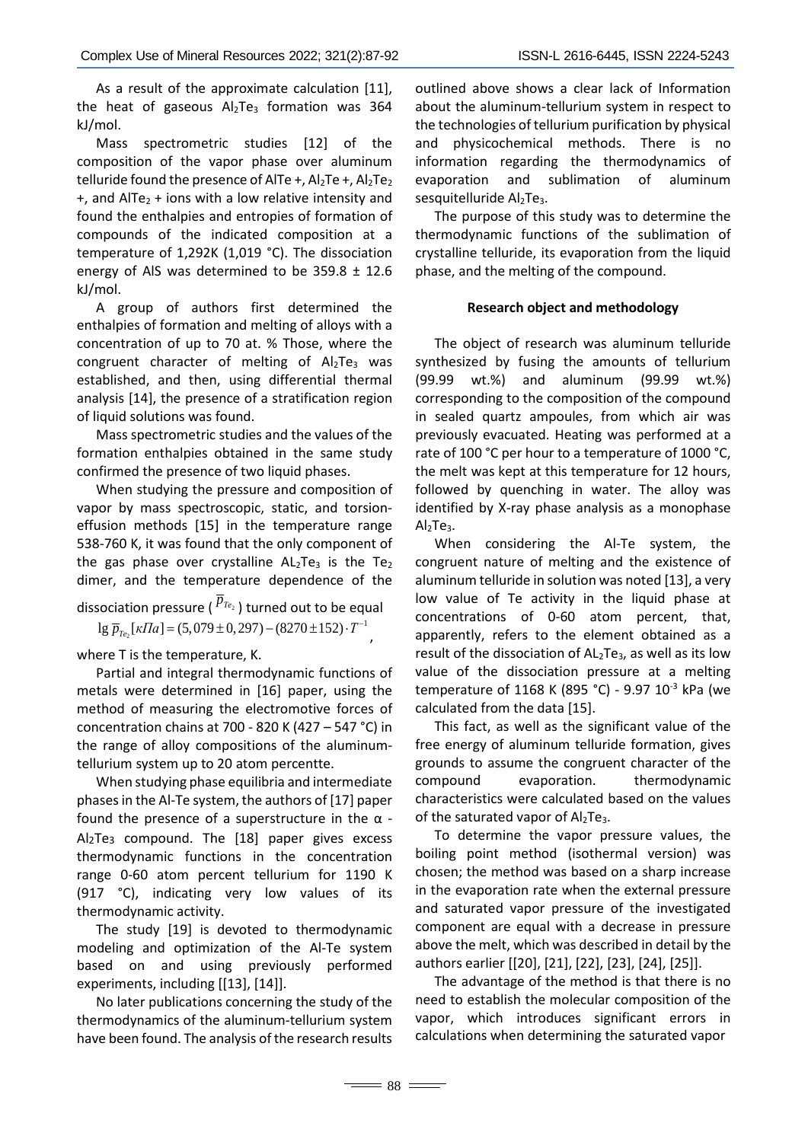As a result of the approximate calculation [11], the heat of gaseous  $Al<sub>2</sub>Te<sub>3</sub>$  formation was 364 kJ/mol.

Mass spectrometric studies [12] of the composition of the vapor phase over aluminum telluride found the presence of AlTe +,  $Al<sub>2</sub>Te +$ ,  $Al<sub>2</sub>Te<sub>2</sub>$  $+$ , and AlTe<sub>2</sub> + ions with a low relative intensity and found the enthalpies and entropies of formation of compounds of the indicated composition at a temperature of 1,292K (1,019 °C). The dissociation energy of AlS was determined to be  $359.8 \pm 12.6$ kJ/mol.

A group of authors first determined the enthalpies of formation and melting of alloys with a concentration of up to 70 at. % Those, where the congruent character of melting of  $Al<sub>2</sub>Te<sub>3</sub>$  was established, and then, using differential thermal analysis [14], the presence of a stratification region of liquid solutions was found.

Mass spectrometric studies and the values of the formation enthalpies obtained in the same study confirmed the presence of two liquid phases.

When studying the pressure and composition of vapor by mass spectroscopic, static, and torsioneffusion methods [15] in the temperature range 538-760 K, it was found that the only component of the gas phase over crystalline  $AL_2Te_3$  is the Te<sub>2</sub> dimer, and the temperature dependence of the

dissociation pressure ( $\overline{p}_{T_{e_2}}$ ) turned out to be equal  $\log \overline{p}_{T_{e_2}}[\kappa \Pi a] = (5,079 \pm 0,297) - (8270 \pm 152) \cdot T^{-1}$ 

where T is the temperature, K.

Partial and integral thermodynamic functions of metals were determined in [16] paper, using the method of measuring the electromotive forces of concentration chains at 700 - 820 K (427 – 547 °C) in the range of alloy compositions of the aluminumtellurium system up to 20 atom percentte.

When studying phase equilibria and intermediate phases in the Al-Te system, the authors of [17] paper found the presence of a superstructure in the  $\alpha$  -Al2Te3 compound. The [18] paper gives excess thermodynamic functions in the concentration range 0-60 atom percent tellurium for 1190 K (917 °C), indicating very low values of its thermodynamic activity.

The study [19] is devoted to thermodynamic modeling and optimization of the Al-Te system based on and using previously performed experiments, including [[13], [14]].

No later publications concerning the study of the thermodynamics of the aluminum-tellurium system have been found. The analysis of the research results outlined above shows a clear lack of Information about the aluminum-tellurium system in respect to the technologies of tellurium purification by physical and physicochemical methods. There is no information regarding the thermodynamics of evaporation and sublimation of aluminum sesquitelluride Al<sub>2</sub>Te<sub>3</sub>.

The purpose of this study was to determine the thermodynamic functions of the sublimation of crystalline telluride, its evaporation from the liquid phase, and the melting of the compound.

## **Research object and methodology**

The object of research was aluminum telluride synthesized by fusing the amounts of tellurium (99.99 wt.%) and aluminum (99.99 wt.%) corresponding to the composition of the compound in sealed quartz ampoules, from which air was previously evacuated. Heating was performed at a rate of 100 °C per hour to a temperature of 1000 °C, the melt was kept at this temperature for 12 hours, followed by quenching in water. The alloy was identified by X-ray phase analysis as a monophase  $Al<sub>2</sub>Te<sub>3</sub>$ .

When considering the Al-Te system, the congruent nature of melting and the existence of aluminum telluride in solution was noted [13], a very low value of Te activity in the liquid phase at concentrations of 0-60 atom percent, that, apparently, refers to the element obtained as a result of the dissociation of AL<sub>2</sub>Te<sub>3</sub>, as well as its low value of the dissociation pressure at a melting temperature of 1168 K (895 °C) - 9.97 10<sup>-3</sup> kPa (we calculated from the data [15].

This fact, as well as the significant value of the free energy of aluminum telluride formation, gives grounds to assume the congruent character of the compound evaporation. thermodynamic characteristics were calculated based on the values of the saturated vapor of  $Al<sub>2</sub>Te<sub>3</sub>$ .

To determine the vapor pressure values, the boiling point method (isothermal version) was chosen; the method was based on a sharp increase in the evaporation rate when the external pressure and saturated vapor pressure of the investigated component are equal with a decrease in pressure above the melt, which was described in detail by the authors earlier [[20], [21], [22], [23], [24], [25]].

The advantage of the method is that there is no need to establish the molecular composition of the vapor, which introduces significant errors in calculations when determining the saturated vapor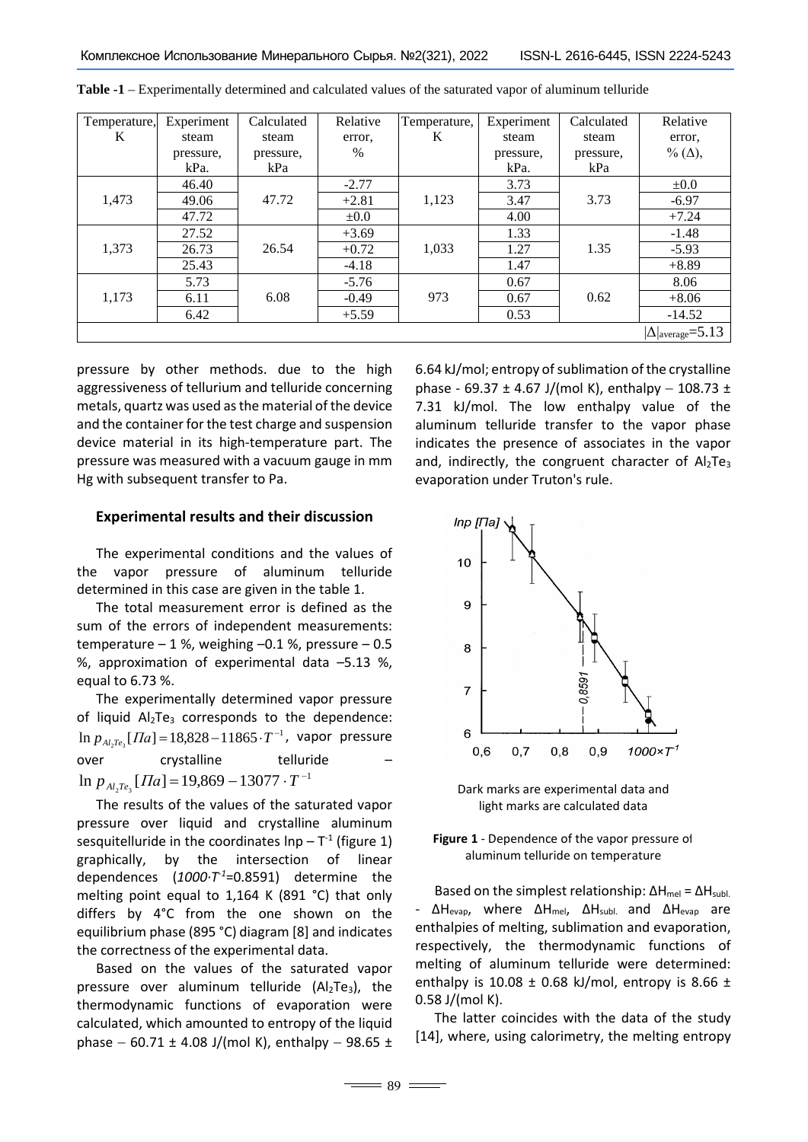| Temperature, | Experiment | Calculated | Relative  | Temperature, | Experiment | Calculated | Relative                           |
|--------------|------------|------------|-----------|--------------|------------|------------|------------------------------------|
| K            | steam      | steam      | error,    | K            | steam      | steam      | error,                             |
|              | pressure,  | pressure,  | $\%$      |              | pressure,  | pressure,  | % $(\Delta)$ ,                     |
|              | kPa.       | kPa        |           |              | kPa.       | kPa        |                                    |
|              | 46.40      |            | $-2.77$   |              | 3.73       |            | $\pm 0.0$                          |
| 1,473        | 49.06      | 47.72      | $+2.81$   | 1,123        | 3.47       | 3.73       | $-6.97$                            |
|              | 47.72      |            | $\pm 0.0$ |              | 4.00       |            | $+7.24$                            |
|              | 27.52      |            | $+3.69$   |              | 1.33       |            | $-1.48$                            |
| 1,373        | 26.73      | 26.54      | $+0.72$   | 1,033        | 1.27       | 1.35       | $-5.93$                            |
|              | 25.43      |            | $-4.18$   |              | 1.47       |            | $+8.89$                            |
|              | 5.73       |            | $-5.76$   |              | 0.67       |            | 8.06                               |
| 1,173        | 6.11       | 6.08       | $-0.49$   | 973          | 0.67       | 0.62       | $+8.06$                            |
|              | 6.42       |            | $+5.59$   |              | 0.53       |            | $-14.52$                           |
|              |            |            |           |              |            |            | $ \Delta _{\text{average}} = 5.13$ |

**Table -1** – Experimentally determined and calculated values of the saturated vapor of aluminum telluride

pressure by other methods. due to the high aggressiveness of tellurium and telluride concerning metals, quartz was used as the material of the device and the container for the test charge and suspension device material in its high-temperature part. The pressure was measured with a vacuum gauge in mm Hg with subsequent transfer to Pa.

### **Experimental results and their discussion**

The experimental conditions and the values of the vapor pressure of aluminum telluride determined in this case are given in the table 1.

The total measurement error is defined as the sum of the errors of independent measurements: temperature  $-1$  %, weighing  $-0.1$  %, pressure  $-0.5$ %, approximation of experimental data –5.13 %, equal to 6.73 %.

The experimentally determined vapor pressure of liquid  $Al<sub>2</sub>Te<sub>3</sub>$  corresponds to the dependence: ln  $p_{A_l2T_{e_3}}[T_a] = 18,828 − 11865 \cdot T^{-1}$ , vapor pressure over crystalline telluride  $\ln p_{A l_2 T e_3} [H a] = 19,869 - 13077 \cdot T^{-1}$ 

The results of the values of the saturated vapor pressure over liquid and crystalline aluminum sesquitelluride in the coordinates  $\text{Inp} - \text{T}^1$  (figure 1) graphically, by the intersection of linear dependences (*1000·Т-1*=0.8591) determine the melting point equal to 1,164 K (891 °C) that only differs by 4°C from the one shown on the equilibrium phase (895 °C) diagram [8] and indicates the correctness of the experimental data.

Based on the values of the saturated vapor pressure over aluminum telluride  $(Al<sub>2</sub>Te<sub>3</sub>)$ , the thermodynamic functions of evaporation were calculated, which amounted to entropy of the liquid phase  $-60.71 \pm 4.08$  J/(mol K), enthalpy  $-98.65 \pm$ 

 $\equiv$  89 $\equiv$ 

6.64 kJ/mol; entropy of sublimation of the crystalline phase - 69.37 ± 4.67 J/(mol K), enthalpy - 108.73 ± 7.31 kJ/mol. The low enthalpy value of the aluminum telluride transfer to the vapor phase indicates the presence of associates in the vapor and, indirectly, the congruent character of  $Al<sub>2</sub>Te<sub>3</sub>$ evaporation under Truton's rule.



Dark marks are experimental data and light marks are calculated data

**Figure 1** - Dependence of the vapor pressure of aluminum telluride on temperature

Based on the simplest relationship:  $\Delta H_{\text{mel}} = \Delta H_{\text{subl}}$ . - ΔH<sub>evap</sub>, where ΔH<sub>mel</sub>, ΔH<sub>subl.</sub> and ΔH<sub>evap</sub> are enthalpies of melting, sublimation and evaporation, respectively, the thermodynamic functions of melting of aluminum telluride were determined: enthalpy is 10.08  $\pm$  0.68 kJ/mol, entropy is 8.66  $\pm$ 0.58 J/(mol K).

The latter coincides with the data of the study [14], where, using calorimetry, the melting entropy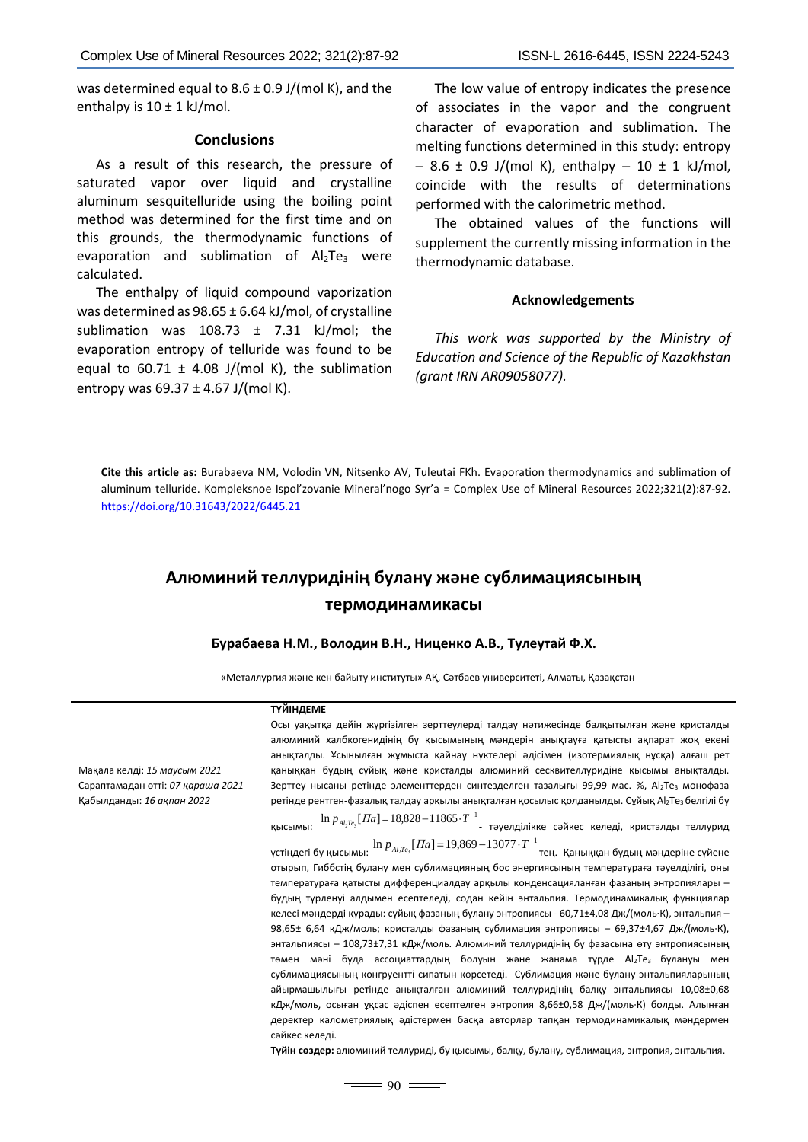was determined equal to  $8.6 \pm 0.9$  J/(mol K), and the enthalpy is  $10 \pm 1$  kJ/mol.

### **Conclusions**

As a result of this research, the pressure of saturated vapor over liquid and crystalline aluminum sesquitelluride using the boiling point method was determined for the first time and on this grounds, the thermodynamic functions of evaporation and sublimation of  $Al<sub>2</sub>Te<sub>3</sub>$  were calculated.

The enthalpy of liquid compound vaporization was determined as 98.65 ± 6.64 kJ/mol, of crystalline sublimation was  $108.73 \pm 7.31$  kJ/mol; the evaporation entropy of telluride was found to be equal to 60.71  $\pm$  4.08 J/(mol K), the sublimation entropy was  $69.37 \pm 4.67$  J/(mol K).

The low value of entropy indicates the presence of associates in the vapor and the congruent character of evaporation and sublimation. The melting functions determined in this study: entropy  $-8.6 \pm 0.9$  J/(mol K), enthalpy  $-10 \pm 1$  kJ/mol, coincide with the results of determinations performed with the calorimetric method.

The obtained values of the functions will supplement the currently missing information in the thermodynamic database.

### **Acknowledgements**

*This work was supported by the Ministry of Education and Science of the Republic of Kazakhstan (grant IRN AR09058077).*

**Cite this article as:** Burabaeva NM, Volodin VN, Nitsenko AV, Tuleutai FKh. Evaporation thermodynamics and sublimation of aluminum telluride. Kompleksnoe Ispol'zovanie Mineral'nogo Syr'a = Complex Use of Mineral Resources 2022;321(2):87-92. <https://doi.org/10.31643/2022/6445.21>

# **Алюминий теллуридінің булану және сублимациясының термодинамикасы**

### **Бурабаева Н.М., Володин В.Н., Ниценко А.В., Тулеутай Ф.Х.**

«Металлургия және кен байыту институты» АҚ, Сәтбаев университеті, Алматы, Қазақстан

#### **ТҮЙІНДЕМЕ**

сәйкес келеді.

Мақала келді: *15 маусым 2021* Сараптамадан өтті: *07 қараша 2021* Қабылданды: *16 ақпан 2022*

анықталды. Ұсынылған жұмыста қайнау нүктелері әдісімен (изотермиялық нұсқа) алғаш рет қаныққан будың сұйық және кристалды алюминий сесквителлуридіне қысымы анықталды. Зерттеу нысаны ретінде элементтерден синтезделген тазалығы 99,99 мас. %, Al<sub>2</sub>Te<sub>3</sub> монофаза ретінде рентген-фазалық талдау арқылы анықталған қосылыс қолданылды. Сұйық Al<sub>2</sub>Te<sub>3</sub> белгілі бу қысымы:  $\ln p_{A_2Te_3}[T a] = 18,828-11865 \cdot T^{-1}$ − тәуелділікке сәйкес келеді, кристалды теллурид үстіндегі бу қысымы:  $\ln p_{\scriptscriptstyle{A}l_2Te_3}[T a]\!=\!19,\!869\!-\!13077\!\cdot\!T^{-1}$ тең. Қаныққан будың мәндеріне сүйене отырып, Гиббстің булану мен сублимацияның бос энергиясының температураға тәуелділігі, оны температураға қатысты дифференциалдау арқылы конденсацияланған фазаның энтропиялары – будың түрленуі алдымен есептеледі, содан кейін энтальпия. Термодинамикалық функциялар келесі мәндерді құрады: сұйық фазаның булану энтропиясы - 60,71±4,08 Дж/(моль·К), энтальпия – 98,65± 6,64 кДж/моль; кристалды фазаның сублимация энтропиясы – 69,37±4,67 Дж/(моль·К), энтальпиясы – 108,73±7,31 кДж/моль. Алюминий теллуридінің бу фазасына өту энтропиясының төмен мәні буда ассоциаттардың болуын және жанама турде Al2Te3 булануы мен сублимациясының конгруентті сипатын көрсетеді. Сублимация және булану энтальпияларының айырмашылығы ретінде анықталған алюминий теллуридінің балқу энтальпиясы 10,08±0,68 кДж/моль, осыған ұқсас әдіспен есептелген энтропия 8,66±0,58 Дж/(моль·К) болды. Алынған деректер калометриялық әдістермен басқа авторлар тапқан термодинамикалық мәндермен

Осы уақытқа дейін жүргізілген зерттеулерді талдау нәтижесінде балқытылған және кристалды алюминий халбкогенидінің бу қысымының мәндерін анықтауға қатысты ақпарат жоқ екені

**Түйін сөздер:** алюминий теллуриді, бу қысымы, балқу, булану, сублимация, энтропия, энтальпия.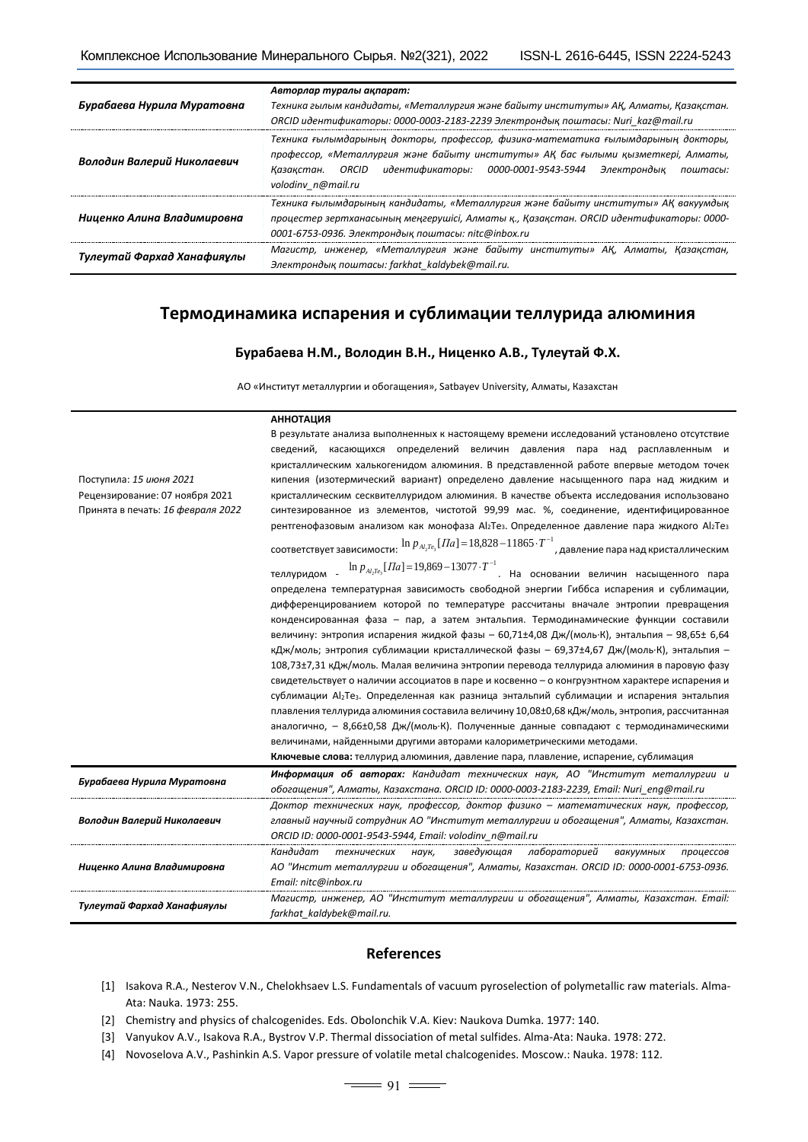| Бурабаева Нурила Муратовна | Авторлар туралы ақпарат:<br>Техника гылым кандидаты, «Металлургия және байыту институты» АҚ, Алматы, Қазақстан.<br>ORCID идентификаторы: 0000-0003-2183-2239 Электрондық поштасы: Nuri kaz@mail.ru                                                                         |  |  |  |  |
|----------------------------|----------------------------------------------------------------------------------------------------------------------------------------------------------------------------------------------------------------------------------------------------------------------------|--|--|--|--|
| Володин Валерий Николаевич | Техника ғылымдарының докторы, профессор, физика-математика ғылымдарының докторы,<br>профессор, «Металлургия және байыту институты» АҚ бас ғылыми қызметкері, Алматы,<br>Казакстан. ORCID идентификаторы: 0000-0001-9543-5944 Электрондық<br>поштасы:<br>volodinv n@mail.ru |  |  |  |  |
| Ниценко Алина Владимировна | Техника ғылымдарының кандидаты, «Металлургия және байыту институты» АҚ вакуумдық<br>процестер зертханасының меңгерүшісі, Алматы қ., Қазақстан. ORCID идентификаторы: 0000-<br>0001-6753-0936. Электрондық поштасы: nitc@inbox.ru                                           |  |  |  |  |
| Тулеутай Фархад Ханафияулы | Магистр, инженер, «Металлургия және байыту институты» АҚ, Алматы, Қазақстан,<br>Электрондық поштасы: farkhat kaldybek@mail.ru.                                                                                                                                             |  |  |  |  |

# **Термодинамика испарения и сублимации теллурида алюминия**

### **Бурабаева Н.М., Володин В.Н., Ниценко А.В., Тулеутай Ф.Х.**

АО «Институт металлургии и обогащения», Satbayev University, Алматы, Казахстан

#### **АННОТАЦИЯ**

|                                   | В результате анализа выполненных к настоящему времени исследований установлено отсутствие                                                  |
|-----------------------------------|--------------------------------------------------------------------------------------------------------------------------------------------|
|                                   | сведений, касающихся определений величин давления пара над расплавленным и                                                                 |
|                                   | кристаллическим халькогенидом алюминия. В представленной работе впервые методом точек                                                      |
| Поступила: 15 июня 2021           | кипения (изотермический вариант) определено давление насыщенного пара над жидким и                                                         |
| Рецензирование: 07 ноября 2021    | кристаллическим сесквителлуридом алюминия. В качестве объекта исследования использовано                                                    |
| Принята в печать: 16 февраля 2022 | синтезированное из элементов, чистотой 99,99 мас. %, соединение, идентифицированное                                                        |
|                                   | рентгенофазовым анализом как монофаза Al <sub>2</sub> Te <sub>3</sub> . Определенное давление пара жидкого Al <sub>2</sub> Te <sub>3</sub> |
|                                   | соответствует зависимости: $\ln p_{_{Al_2P_5}}[I/a] = 18,828-11865\cdot T^{-1}$ , давление пара над кристаллическим                        |
|                                   | $\ln p_{A_1,Te_3}[T_a]$ =19,869-13077 $\cdot T^{-1}$ . На основании величин насыщенного пара<br>теллуридом -                               |
|                                   | определена температурная зависимость свободной энергии Гиббса испарения и сублимации,                                                      |
|                                   | дифференцированием которой по температуре рассчитаны вначале энтропии превращения                                                          |
|                                   | конденсированная фаза - пар, а затем энтальпия. Термодинамические функции составили                                                        |
|                                   | величину: энтропия испарения жидкой фазы - 60,71±4,08 Дж/(моль·К), энтальпия - 98,65± 6,64                                                 |
|                                   | кДж/моль; энтропия сублимации кристаллической фазы - 69,37±4,67 Дж/(моль·К), энтальпия -                                                   |
|                                   | 108,73±7,31 кДж/моль. Малая величина энтропии перевода теллурида алюминия в паровую фазу                                                   |
|                                   | свидетельствует о наличии ассоциатов в паре и косвенно - о конгруэнтном характере испарения и                                              |
|                                   | сублимации Al <sub>2</sub> Te <sub>3</sub> . Определенная как разница энтальпий сублимации и испарения энтальпия                           |
|                                   | плавления теллурида алюминия составила величину 10,08±0,68 кДж/моль, энтропия, рассчитанная                                                |
|                                   | аналогично, - 8,66±0,58 Дж/(моль·К). Полученные данные совпадают с термодинамическими                                                      |
|                                   | величинами, найденными другими авторами калориметрическими методами.                                                                       |
|                                   | Ключевые слова: теллурид алюминия, давление пара, плавление, испарение, сублимация                                                         |
| Бурабаева Нурила Муратовна        | Информация об авторах: Кандидат технических наук, АО "Институт металлургии и                                                               |
|                                   | обогащения", Алматы, Казахстана. ORCID ID: 0000-0003-2183-2239, Email: Nuri_eng@mail.ru                                                    |
|                                   | Доктор технических наук, профессор, доктор физико - математических наук, профессор,                                                        |
| Володин Валерий Николаевич        | главный научный сотрудник АО "Институт металлургии и обогащения", Алматы, Казахстан.                                                       |
|                                   | ORCID ID: 0000-0001-9543-5944, Email: volodinv n@mail.ru                                                                                   |
|                                   | Кандидат<br>заведующая<br>лабораторией<br>технических<br>наук,<br>вакуумных<br>процессов                                                   |
| Ниценко Алина Владимировна        | АО "Инстит металлургии и обогащения", Алматы, Казахстан. ORCID ID: 0000-0001-6753-0936.                                                    |
|                                   | Email: nitc@inbox.ru                                                                                                                       |
| Тулеутай Фархад Ханафияулы        | Магистр, инженер, АО "Институт металлургии и обогащения", Алматы, Казахстан. Етаі!:                                                        |
|                                   | farkhat kaldybek@mail.ru.                                                                                                                  |

## **References**

- [1] Isakova R.A., Nesterov V.N., Chelokhsaev L.S. Fundamentals of vacuum pyroselection of polymetallic raw materials. Alma-Ata: Nauka. 1973: 255.
- [2] Chemistry and physics of chalcogenides. Eds. Obolonchik V.A. Kiev: Naukova Dumka. 1977: 140.
- [3] Vanyukov A.V., Isakova R.A., Bystrov V.P. Thermal dissociation of metal sulfides. Alma-Ata: Nauka. 1978: 272.
- [4] Novoselova A.V., Pashinkin A.S. Vapor pressure of volatile metal chalcogenides. Moscow.: Nauka. 1978: 112.